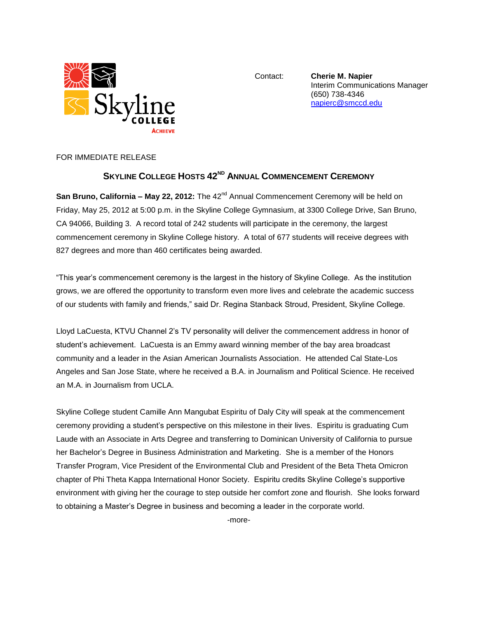

Contact: **Cherie M. Napier** Interim Communications Manager (650) 738-4346 [napierc@smccd.edu](mailto:napierc@smccd.edu)

FOR IMMEDIATE RELEASE

## **SKYLINE COLLEGE HOSTS 42 ND ANNUAL COMMENCEMENT CEREMONY**

San Bruno, California – May 22, 2012: The 42<sup>nd</sup> Annual Commencement Ceremony will be held on Friday, May 25, 2012 at 5:00 p.m. in the Skyline College Gymnasium, at 3300 College Drive, San Bruno, CA 94066, Building 3. A record total of 242 students will participate in the ceremony, the largest commencement ceremony in Skyline College history. A total of 677 students will receive degrees with 827 degrees and more than 460 certificates being awarded.

"This year's commencement ceremony is the largest in the history of Skyline College. As the institution grows, we are offered the opportunity to transform even more lives and celebrate the academic success of our students with family and friends," said Dr. Regina Stanback Stroud, President, Skyline College.

Lloyd LaCuesta, KTVU Channel 2's TV personality will deliver the commencement address in honor of student's achievement. LaCuesta is an Emmy award winning member of the bay area broadcast community and a leader in the Asian American Journalists Association. He attended Cal State-Los Angeles and San Jose State, where he received a B.A. in Journalism and Political Science. He received an M.A. in Journalism from UCLA.

Skyline College student Camille Ann Mangubat Espiritu of Daly City will speak at the commencement ceremony providing a student's perspective on this milestone in their lives. Espiritu is graduating Cum Laude with an Associate in Arts Degree and transferring to Dominican University of California to pursue her Bachelor's Degree in Business Administration and Marketing. She is a member of the Honors Transfer Program, Vice President of the Environmental Club and President of the Beta Theta Omicron chapter of Phi Theta Kappa International Honor Society. Espiritu credits Skyline College's supportive environment with giving her the courage to step outside her comfort zone and flourish. She looks forward to obtaining a Master's Degree in business and becoming a leader in the corporate world.

-more-